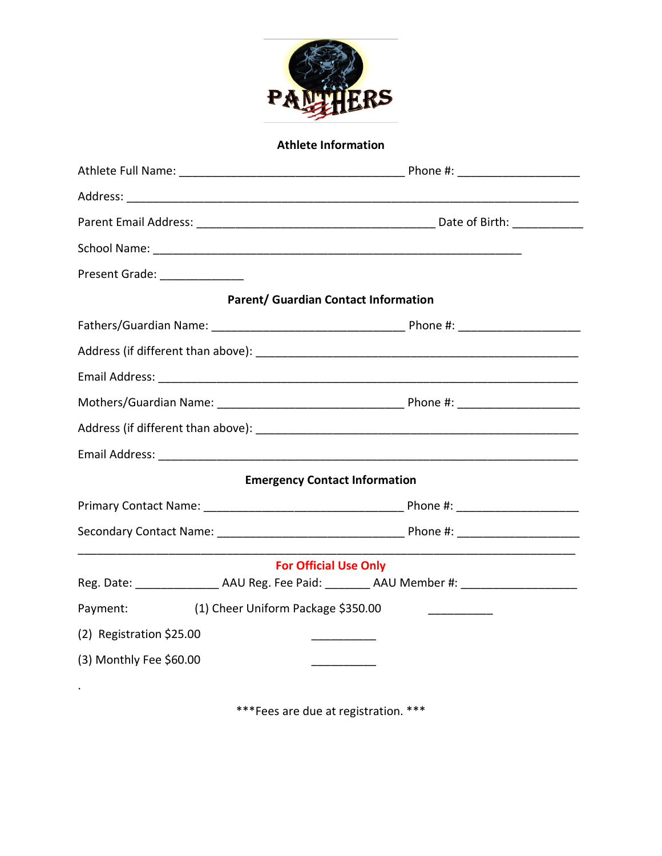

### **Athlete Information**

| Present Grade: _______________ |                                    |                                             |
|--------------------------------|------------------------------------|---------------------------------------------|
|                                |                                    | <b>Parent/ Guardian Contact Information</b> |
|                                |                                    |                                             |
|                                |                                    |                                             |
|                                |                                    |                                             |
|                                |                                    |                                             |
|                                |                                    |                                             |
|                                |                                    |                                             |
|                                |                                    | <b>Emergency Contact Information</b>        |
|                                |                                    |                                             |
|                                |                                    |                                             |
|                                |                                    | <b>For Official Use Only</b>                |
|                                |                                    |                                             |
| Payment:                       | (1) Cheer Uniform Package \$350.00 |                                             |
| (2) Registration \$25.00       |                                    |                                             |
| (3) Monthly Fee \$60.00        |                                    |                                             |
|                                |                                    |                                             |

\*\*\*Fees are due at registration. \*\*\*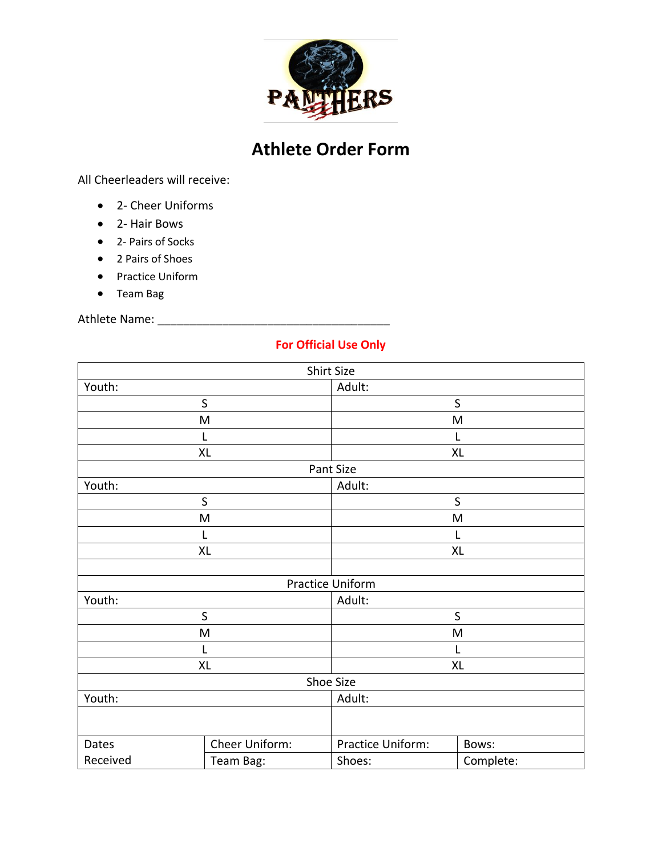

# **Athlete Order Form**

All Cheerleaders will receive:

- 2- Cheer Uniforms
- 2- Hair Bows
- 2- Pairs of Socks
- 2 Pairs of Shoes
- Practice Uniform
- Team Bag

Athlete Name: \_\_\_\_\_\_\_\_\_\_\_\_\_\_\_\_\_\_\_\_\_\_\_\_\_\_\_\_\_\_\_\_\_\_\_\_

### **For Official Use Only**

|             |                | Shirt Size        |           |  |
|-------------|----------------|-------------------|-----------|--|
| Youth:      |                | Adult:            |           |  |
|             | $\sf S$        |                   | $\sf S$   |  |
|             | M              |                   | M         |  |
|             | L              |                   | L         |  |
|             | XL             |                   | XL        |  |
|             |                | Pant Size         |           |  |
| Youth:      |                | Adult:            |           |  |
|             | $\sf S$        |                   | $\sf S$   |  |
|             | M              |                   | M         |  |
|             | L              |                   | L         |  |
|             | <b>XL</b>      |                   | XL        |  |
|             |                |                   |           |  |
|             |                | Practice Uniform  |           |  |
| Youth:      |                | Adult:            |           |  |
| $\mathsf S$ |                | S                 |           |  |
| M           |                | M                 |           |  |
| L           |                | L                 |           |  |
| XL          |                | XL                |           |  |
|             |                | Shoe Size         |           |  |
| Youth:      |                | Adult:            |           |  |
|             |                |                   |           |  |
| Dates       | Cheer Uniform: | Practice Uniform: | Bows:     |  |
| Received    | Team Bag:      | Shoes:            | Complete: |  |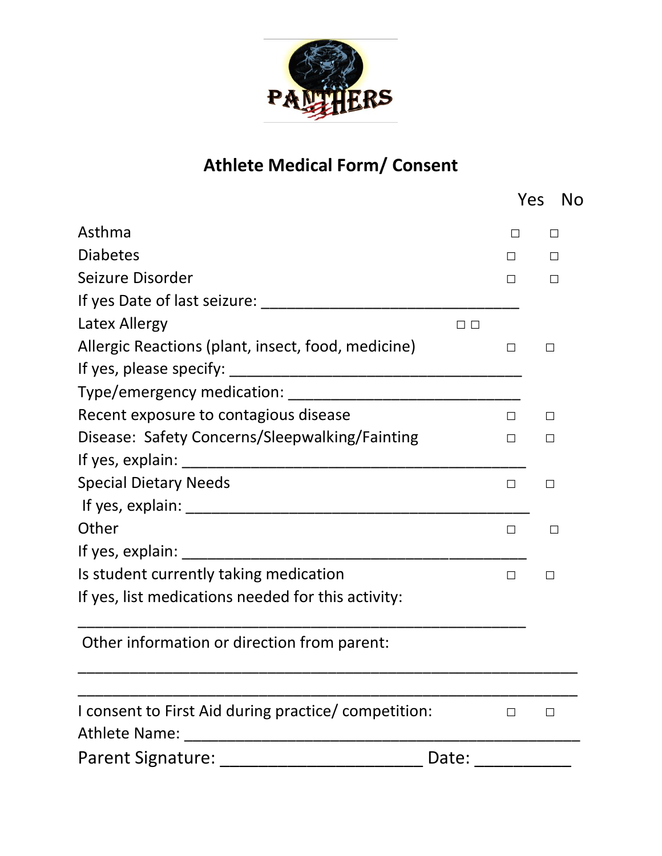

# **Athlete Medical Form/ Consent**

|                                                                                                                                                                                                                                                                                                                                                                                                                                             |               | Yes          | No      |
|---------------------------------------------------------------------------------------------------------------------------------------------------------------------------------------------------------------------------------------------------------------------------------------------------------------------------------------------------------------------------------------------------------------------------------------------|---------------|--------------|---------|
| Asthma                                                                                                                                                                                                                                                                                                                                                                                                                                      |               | $\mathsf{L}$ | $\perp$ |
| <b>Diabetes</b>                                                                                                                                                                                                                                                                                                                                                                                                                             |               | П            | П       |
| Seizure Disorder                                                                                                                                                                                                                                                                                                                                                                                                                            |               |              | $\perp$ |
| If yes Date of last seizure:                                                                                                                                                                                                                                                                                                                                                                                                                |               |              |         |
| Latex Allergy                                                                                                                                                                                                                                                                                                                                                                                                                               | $\Box$ $\Box$ |              |         |
| Allergic Reactions (plant, insect, food, medicine)                                                                                                                                                                                                                                                                                                                                                                                          |               | $\Box$       | □       |
|                                                                                                                                                                                                                                                                                                                                                                                                                                             |               |              |         |
|                                                                                                                                                                                                                                                                                                                                                                                                                                             |               |              |         |
| Recent exposure to contagious disease                                                                                                                                                                                                                                                                                                                                                                                                       |               | П            | $\Box$  |
| Disease: Safety Concerns/Sleepwalking/Fainting                                                                                                                                                                                                                                                                                                                                                                                              |               | П            | П       |
|                                                                                                                                                                                                                                                                                                                                                                                                                                             |               |              |         |
| <b>Special Dietary Needs</b>                                                                                                                                                                                                                                                                                                                                                                                                                |               | $\Box$       | $\Box$  |
|                                                                                                                                                                                                                                                                                                                                                                                                                                             |               |              |         |
| Other                                                                                                                                                                                                                                                                                                                                                                                                                                       |               | П            | П       |
| If yes, explain: $\sqrt{\frac{1}{2} \cdot \frac{1}{2} \cdot \frac{1}{2} \cdot \frac{1}{2} \cdot \frac{1}{2} \cdot \frac{1}{2} \cdot \frac{1}{2} \cdot \frac{1}{2} \cdot \frac{1}{2} \cdot \frac{1}{2} \cdot \frac{1}{2} \cdot \frac{1}{2} \cdot \frac{1}{2} \cdot \frac{1}{2} \cdot \frac{1}{2} \cdot \frac{1}{2} \cdot \frac{1}{2} \cdot \frac{1}{2} \cdot \frac{1}{2} \cdot \frac{1}{2} \cdot \frac{1}{2} \cdot \frac{1}{2} \cdot \frac{$ |               |              |         |
| Is student currently taking medication                                                                                                                                                                                                                                                                                                                                                                                                      |               | П            | $\Box$  |
| If yes, list medications needed for this activity:                                                                                                                                                                                                                                                                                                                                                                                          |               |              |         |
| Other information or direction from parent:                                                                                                                                                                                                                                                                                                                                                                                                 |               |              |         |
| I consent to First Aid during practice/ competition:<br>Athlete Name:                                                                                                                                                                                                                                                                                                                                                                       |               | П            | $\Box$  |
| <b>Parent Signature:</b><br>Date:                                                                                                                                                                                                                                                                                                                                                                                                           |               |              |         |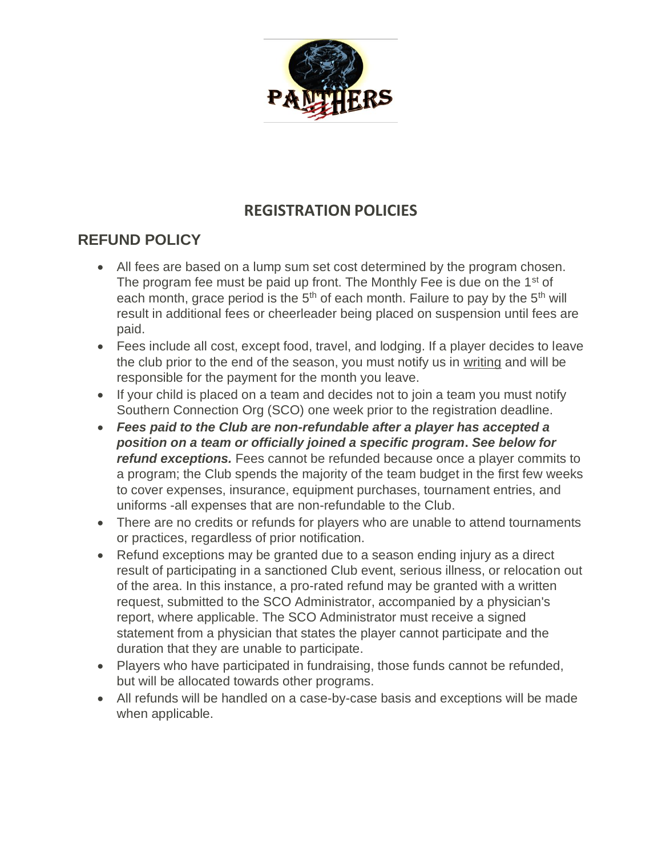

# **REGISTRATION POLICIES**

# **REFUND POLICY**

- All fees are based on a lump sum set cost determined by the program chosen. The program fee must be paid up front. The Monthly Fee is due on the 1<sup>st</sup> of each month, grace period is the  $5<sup>th</sup>$  of each month. Failure to pay by the  $5<sup>th</sup>$  will result in additional fees or cheerleader being placed on suspension until fees are paid.
- Fees include all cost, except food, travel, and lodging. If a player decides to leave the club prior to the end of the season, you must notify us in writing and will be responsible for the payment for the month you leave.
- If your child is placed on a team and decides not to join a team you must notify Southern Connection Org (SCO) one week prior to the registration deadline.
- *Fees paid to the Club are non-refundable after a player has accepted a position on a team or officially joined a specific program***.** *See below for refund exceptions.* Fees cannot be refunded because once a player commits to a program; the Club spends the majority of the team budget in the first few weeks to cover expenses, insurance, equipment purchases, tournament entries, and uniforms -all expenses that are non-refundable to the Club.
- There are no credits or refunds for players who are unable to attend tournaments or practices, regardless of prior notification.
- Refund exceptions may be granted due to a season ending injury as a direct result of participating in a sanctioned Club event, serious illness, or relocation out of the area. In this instance, a pro-rated refund may be granted with a written request, submitted to the SCO Administrator, accompanied by a physician's report, where applicable. The SCO Administrator must receive a signed statement from a physician that states the player cannot participate and the duration that they are unable to participate.
- Players who have participated in fundraising, those funds cannot be refunded, but will be allocated towards other programs.
- All refunds will be handled on a case-by-case basis and exceptions will be made when applicable.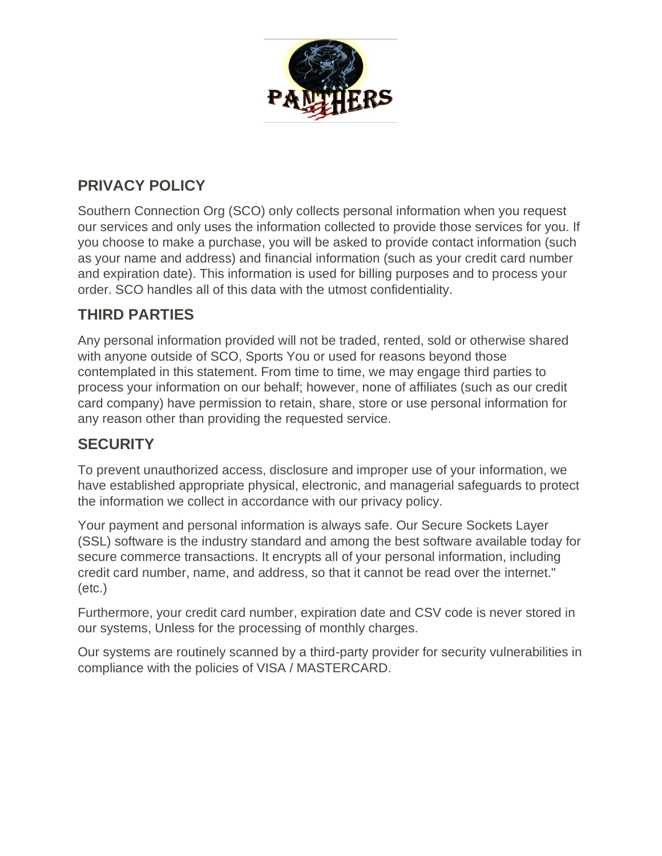

## **PRIVACY POLICY**

Southern Connection Org (SCO) only collects personal information when you request our services and only uses the information collected to provide those services for you. If you choose to make a purchase, you will be asked to provide contact information (such as your name and address) and financial information (such as your credit card number and expiration date). This information is used for billing purposes and to process your order. SCO handles all of this data with the utmost confidentiality.

# **THIRD PARTIES**

Any personal information provided will not be traded, rented, sold or otherwise shared with anyone outside of SCO, Sports You or used for reasons beyond those contemplated in this statement. From time to time, we may engage third parties to process your information on our behalf; however, none of affiliates (such as our credit card company) have permission to retain, share, store or use personal information for any reason other than providing the requested service.

### **SECURITY**

To prevent unauthorized access, disclosure and improper use of your information, we have established appropriate physical, electronic, and managerial safeguards to protect the information we collect in accordance with our privacy policy.

Your payment and personal information is always safe. Our Secure Sockets Layer (SSL) software is the industry standard and among the best software available today for secure commerce transactions. It encrypts all of your personal information, including credit card number, name, and address, so that it cannot be read over the internet." (etc.)

Furthermore, your credit card number, expiration date and CSV code is never stored in our systems, Unless for the processing of monthly charges.

Our systems are routinely scanned by a third-party provider for security vulnerabilities in compliance with the policies of VISA / MASTERCARD.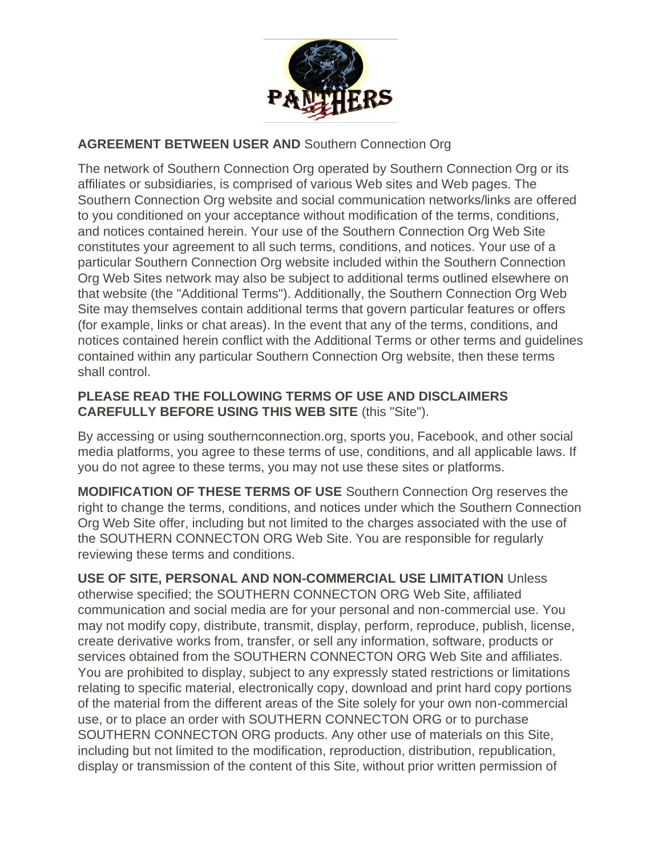

### **AGREEMENT BETWEEN USER AND** Southern Connection Org

The network of Southern Connection Org operated by Southern Connection Org or its affiliates or subsidiaries, is comprised of various Web sites and Web pages. The Southern Connection Org website and social communication networks/links are offered to you conditioned on your acceptance without modification of the terms, conditions, and notices contained herein. Your use of the Southern Connection Org Web Site constitutes your agreement to all such terms, conditions, and notices. Your use of a particular Southern Connection Org website included within the Southern Connection Org Web Sites network may also be subject to additional terms outlined elsewhere on that website (the "Additional Terms"). Additionally, the Southern Connection Org Web Site may themselves contain additional terms that govern particular features or offers (for example, links or chat areas). In the event that any of the terms, conditions, and notices contained herein conflict with the Additional Terms or other terms and guidelines contained within any particular Southern Connection Org website, then these terms shall control.

### **PLEASE READ THE FOLLOWING TERMS OF USE AND DISCLAIMERS CAREFULLY BEFORE USING THIS WEB SITE** (this "Site").

By accessing or using southernconnection.org, sports you, Facebook, and other social media platforms, you agree to these terms of use, conditions, and all applicable laws. If you do not agree to these terms, you may not use these sites or platforms.

**MODIFICATION OF THESE TERMS OF USE** Southern Connection Org reserves the right to change the terms, conditions, and notices under which the Southern Connection Org Web Site offer, including but not limited to the charges associated with the use of the SOUTHERN CONNECTON ORG Web Site. You are responsible for regularly reviewing these terms and conditions.

**USE OF SITE, PERSONAL AND NON-COMMERCIAL USE LIMITATION** Unless otherwise specified; the SOUTHERN CONNECTON ORG Web Site, affiliated communication and social media are for your personal and non-commercial use. You may not modify copy, distribute, transmit, display, perform, reproduce, publish, license, create derivative works from, transfer, or sell any information, software, products or services obtained from the SOUTHERN CONNECTON ORG Web Site and affiliates. You are prohibited to display, subject to any expressly stated restrictions or limitations relating to specific material, electronically copy, download and print hard copy portions of the material from the different areas of the Site solely for your own non-commercial use, or to place an order with SOUTHERN CONNECTON ORG or to purchase SOUTHERN CONNECTON ORG products. Any other use of materials on this Site, including but not limited to the modification, reproduction, distribution, republication, display or transmission of the content of this Site, without prior written permission of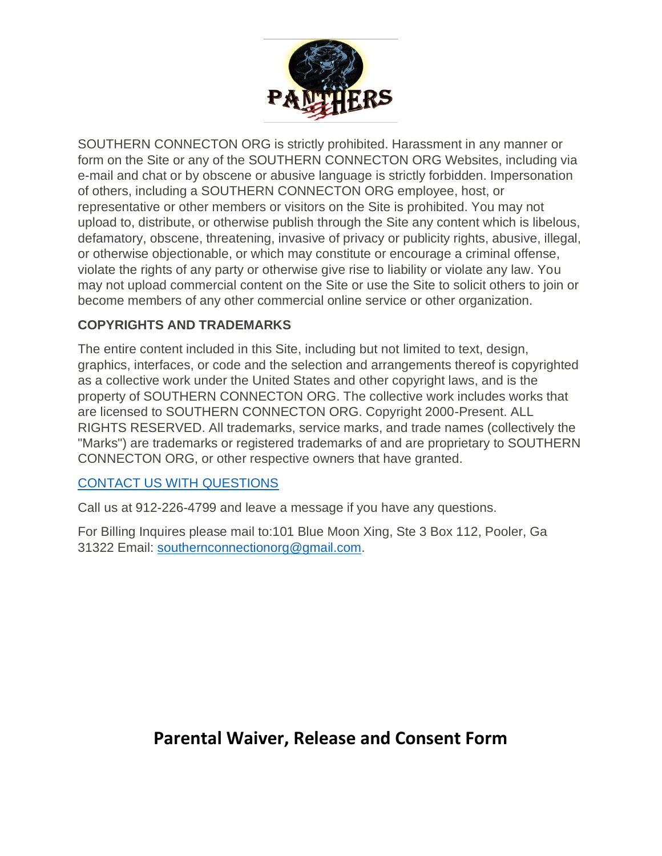

SOUTHERN CONNECTON ORG is strictly prohibited. Harassment in any manner or form on the Site or any of the SOUTHERN CONNECTON ORG Websites, including via e-mail and chat or by obscene or abusive language is strictly forbidden. Impersonation of others, including a SOUTHERN CONNECTON ORG employee, host, or representative or other members or visitors on the Site is prohibited. You may not upload to, distribute, or otherwise publish through the Site any content which is libelous, defamatory, obscene, threatening, invasive of privacy or publicity rights, abusive, illegal, or otherwise objectionable, or which may constitute or encourage a criminal offense, violate the rights of any party or otherwise give rise to liability or violate any law. You may not upload commercial content on the Site or use the Site to solicit others to join or become members of any other commercial online service or other organization.

### **COPYRIGHTS AND TRADEMARKS**

The entire content included in this Site, including but not limited to text, design, graphics, interfaces, or code and the selection and arrangements thereof is copyrighted as a collective work under the United States and other copyright laws, and is the property of SOUTHERN CONNECTON ORG. The collective work includes works that are licensed to SOUTHERN CONNECTON ORG. Copyright 2000-Present. ALL RIGHTS RESERVED. All trademarks, service marks, and trade names (collectively the "Marks") are trademarks or registered trademarks of and are proprietary to SOUTHERN CONNECTON ORG, or other respective owners that have granted.

### [CONTACT US WITH QUESTIONS](http://www.upwardstarsrichmond.org/about/contact-us)

Call us at 912-226-4799 and leave a message if you have any questions.

For Billing Inquires please mail to:101 Blue Moon Xing, Ste 3 Box 112, Pooler, Ga 31322 Email: [southernconnectionorg@gmail.com.](mailto:southernconnectionorg@gmail.com)

# **Parental Waiver, Release and Consent Form**